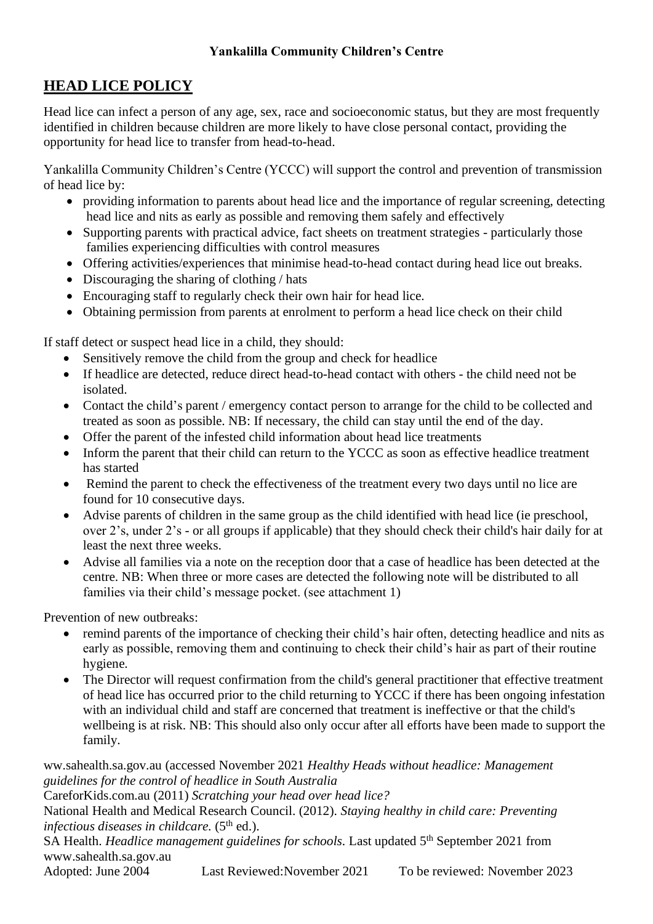## **Yankalilla Community Children's Centre**

## **HEAD LICE POLICY**

Head lice can infect a person of any age, sex, race and socioeconomic status, but they are most frequently identified in children because children are more likely to have close personal contact, providing the opportunity for head lice to transfer from head-to-head.

Yankalilla Community Children's Centre (YCCC) will support the control and prevention of transmission of head lice by:

- providing information to parents about head lice and the importance of regular screening, detecting head lice and nits as early as possible and removing them safely and effectively
- Supporting parents with practical advice, fact sheets on treatment strategies particularly those families experiencing difficulties with control measures
- Offering activities/experiences that minimise head-to-head contact during head lice out breaks.
- Discouraging the sharing of clothing / hats
- Encouraging staff to regularly check their own hair for head lice.
- Obtaining permission from parents at enrolment to perform a head lice check on their child

If staff detect or suspect head lice in a child, they should:

- Sensitively remove the child from the group and check for headlice
- If headlice are detected, reduce direct head-to-head contact with others the child need not be isolated.
- Contact the child's parent / emergency contact person to arrange for the child to be collected and treated as soon as possible. NB: If necessary, the child can stay until the end of the day.
- Offer the parent of the infested child information about head lice treatments
- Inform the parent that their child can return to the YCCC as soon as effective headlice treatment has started
- Remind the parent to check the effectiveness of the treatment every two days until no lice are found for 10 consecutive days.
- Advise parents of children in the same group as the child identified with head lice (ie preschool, over 2's, under 2's - or all groups if applicable) that they should check their child's hair daily for at least the next three weeks.
- Advise all families via a note on the reception door that a case of headlice has been detected at the centre. NB: When three or more cases are detected the following note will be distributed to all families via their child's message pocket. (see attachment 1)

Prevention of new outbreaks:

- remind parents of the importance of checking their child's hair often, detecting headlice and nits as early as possible, removing them and continuing to check their child's hair as part of their routine hygiene.
- The Director will request confirmation from the child's general practitioner that effective treatment of head lice has occurred prior to the child returning to YCCC if there has been ongoing infestation with an individual child and staff are concerned that treatment is ineffective or that the child's wellbeing is at risk. NB: This should also only occur after all efforts have been made to support the family.

ww.sahealth.sa.gov.au (accessed November 2021 *Healthy Heads without headlice: Management guidelines for the control of headlice in South Australia*

CareforKids.com.au (2011) *Scratching your head over head lice?*

National Health and Medical Research Council. (2012). *Staying healthy in child care: Preventing*  infectious diseases in childcare. (5<sup>th</sup> ed.).

SA Health. *Headlice management guidelines for schools*. Last updated 5<sup>th</sup> September 2021 from www.sahealth.sa.gov.au

Adopted: June 2004 Last Reviewed: November 2021 To be reviewed: November 2023